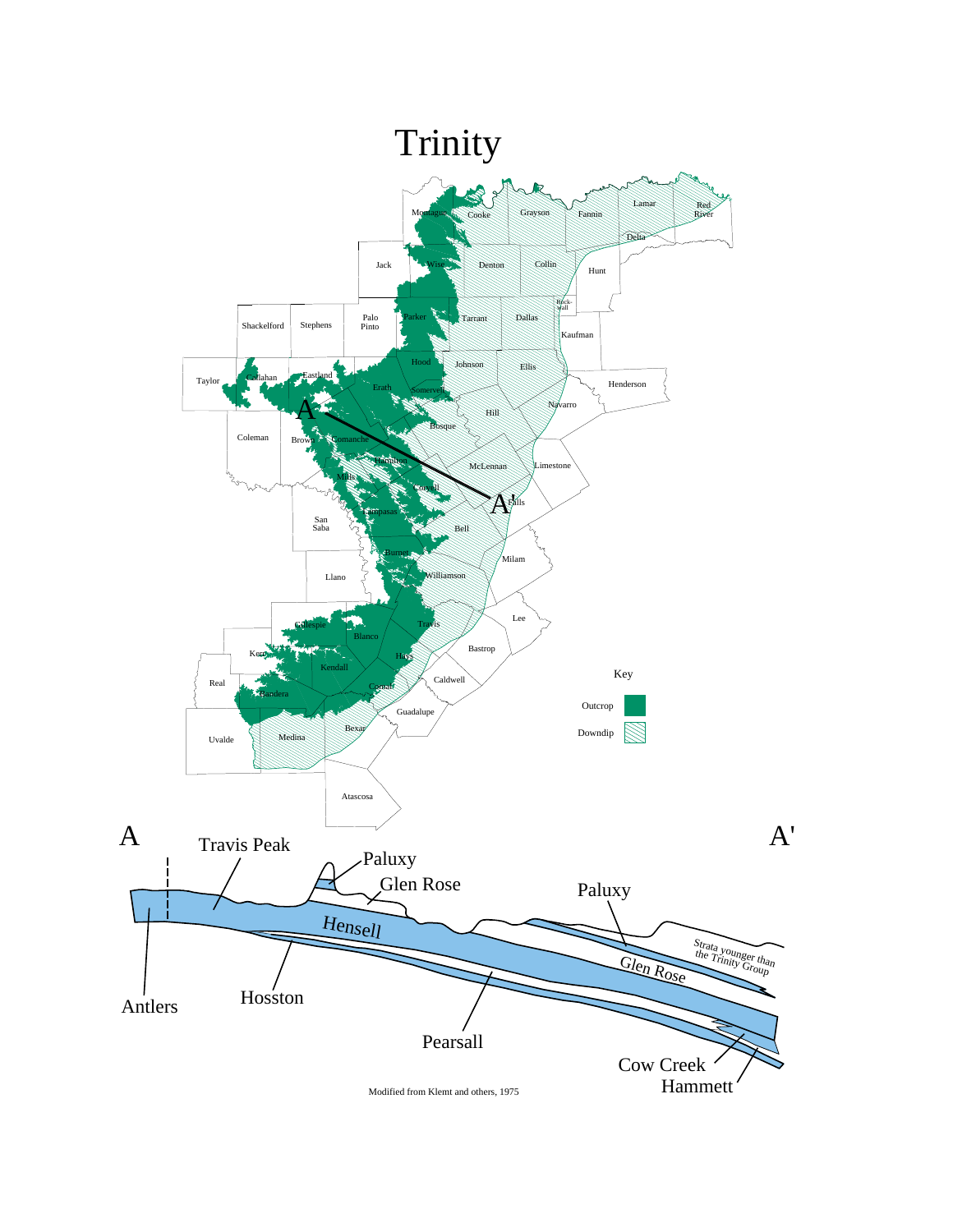